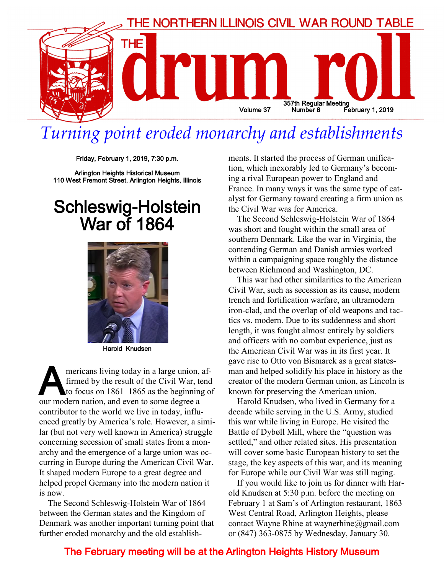

## *Turning point eroded monarchy and establishments*

Friday, February 1, 2019, 7:30 p.m.

Arlington Heights Historical Museum 110 West Fremont Street, Arlington Heights, Illinois

## Schleswig-Holstein War of 1864



Harold Knudsen

mericans living today in a large union,<br>firmed by the result of the Civil War, to<br>to focus on 1861–1865 as the beginning<br>our modern nation, and even to some degree a mericans living today in a large union, affirmed by the result of the Civil War, tend to focus on 1861–1865 as the beginning of contributor to the world we live in today, influenced greatly by America's role. However, a similar (but not very well known in America) struggle concerning secession of small states from a monarchy and the emergence of a large union was occurring in Europe during the American Civil War. It shaped modern Europe to a great degree and helped propel Germany into the modern nation it is now.

The Second Schleswig-Holstein War of 1864 between the German states and the Kingdom of Denmark was another important turning point that further eroded monarchy and the old establishments. It started the process of German unification, which inexorably led to Germany's becoming a rival European power to England and France. In many ways it was the same type of catalyst for Germany toward creating a firm union as the Civil War was for America.

The Second Schleswig-Holstein War of 1864 was short and fought within the small area of southern Denmark. Like the war in Virginia, the contending German and Danish armies worked within a campaigning space roughly the distance between Richmond and Washington, DC.

This war had other similarities to the American Civil War, such as secession as its cause, modern trench and fortification warfare, an ultramodern iron-clad, and the overlap of old weapons and tactics vs. modern. Due to its suddenness and short length, it was fought almost entirely by soldiers and officers with no combat experience, just as the American Civil War was in its first year. It gave rise to Otto von Bismarck as a great statesman and helped solidify his place in history as the creator of the modern German union, as Lincoln is known for preserving the American union.

Harold Knudsen, who lived in Germany for a decade while serving in the U.S. Army, studied this war while living in Europe. He visited the Battle of Dybøll Mill, where the "question was settled," and other related sites. His presentation will cover some basic European history to set the stage, the key aspects of this war, and its meaning for Europe while our Civil War was still raging.

If you would like to join us for dinner with Harold Knudsen at 5:30 p.m. before the meeting on February 1 at Sam's of Arlington restaurant, 1863 West Central Road, Arlington Heights, please contact Wayne Rhine at waynerhine@gmail.com or (847) 363-0875 by Wednesday, January 30.

#### The February meeting will be at the Arlington Heights History Museum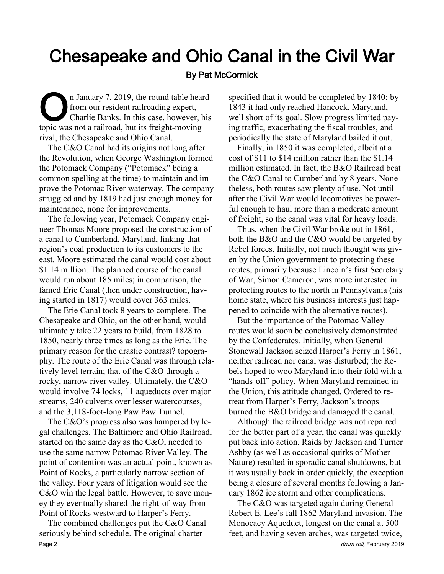# Chesapeake and Ohio Canal in the Civil War

#### By Pat McCormick

The January 7, 2019, the round table hear<br>from our resident railroading expert,<br>charlie Banks. In this case, however, h<br>topic was not a railroad, but its freight-moving n January 7, 2019, the round table heard from our resident railroading expert, Charlie Banks. In this case, however, his rival, the Chesapeake and Ohio Canal.

The C&O Canal had its origins not long after the Revolution, when George Washington formed the Potomack Company ("Potomack" being a common spelling at the time) to maintain and improve the Potomac River waterway. The company struggled and by 1819 had just enough money for maintenance, none for improvements.

The following year, Potomack Company engineer Thomas Moore proposed the construction of a canal to Cumberland, Maryland, linking that region's coal production to its customers to the east. Moore estimated the canal would cost about \$1.14 million. The planned course of the canal would run about 185 miles; in comparison, the famed Erie Canal (then under construction, having started in 1817) would cover 363 miles.

The Erie Canal took 8 years to complete. The Chesapeake and Ohio, on the other hand, would ultimately take 22 years to build, from 1828 to 1850, nearly three times as long as the Erie. The primary reason for the drastic contrast? topography. The route of the Erie Canal was through relatively level terrain; that of the C&O through a rocky, narrow river valley. Ultimately, the C&O would involve 74 locks, 11 aqueducts over major streams, 240 culverts over lesser watercourses, and the 3,118-foot-long Paw Paw Tunnel.

The C&O's progress also was hampered by legal challenges. The Baltimore and Ohio Railroad, started on the same day as the C&O, needed to use the same narrow Potomac River Valley. The point of contention was an actual point, known as Point of Rocks, a particularly narrow section of the valley. Four years of litigation would see the C&O win the legal battle. However, to save money they eventually shared the right-of-way from Point of Rocks westward to Harper's Ferry.

The combined challenges put the C&O Canal seriously behind schedule. The original charter Page 2 drum roll, February 2019

specified that it would be completed by 1840; by 1843 it had only reached Hancock, Maryland, well short of its goal. Slow progress limited paying traffic, exacerbating the fiscal troubles, and periodically the state of Maryland bailed it out.

Finally, in 1850 it was completed, albeit at a cost of \$11 to \$14 million rather than the \$1.14 million estimated. In fact, the B&O Railroad beat the C&O Canal to Cumberland by 8 years. Nonetheless, both routes saw plenty of use. Not until after the Civil War would locomotives be powerful enough to haul more than a moderate amount of freight, so the canal was vital for heavy loads.

Thus, when the Civil War broke out in 1861, both the B&O and the C&O would be targeted by Rebel forces. Initially, not much thought was given by the Union government to protecting these routes, primarily because Lincoln's first Secretary of War, Simon Cameron, was more interested in protecting routes to the north in Pennsylvania (his home state, where his business interests just happened to coincide with the alternative routes).

But the importance of the Potomac Valley routes would soon be conclusively demonstrated by the Confederates. Initially, when General Stonewall Jackson seized Harper's Ferry in 1861, neither railroad nor canal was disturbed; the Rebels hoped to woo Maryland into their fold with a "hands-off" policy. When Maryland remained in the Union, this attitude changed. Ordered to retreat from Harper's Ferry, Jackson's troops burned the B&O bridge and damaged the canal.

Although the railroad bridge was not repaired for the better part of a year, the canal was quickly put back into action. Raids by Jackson and Turner Ashby (as well as occasional quirks of Mother Nature) resulted in sporadic canal shutdowns, but it was usually back in order quickly, the exception being a closure of several months following a January 1862 ice storm and other complications.

The C&O was targeted again during General Robert E. Lee's fall 1862 Maryland invasion. The Monocacy Aqueduct, longest on the canal at 500 feet, and having seven arches, was targeted twice,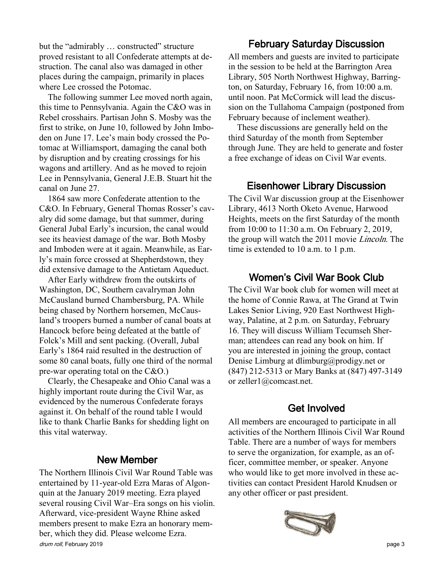but the "admirably ... constructed" structure proved resistant to all Confederate attempts at destruction. The canal also was damaged in other places during the campaign, primarily in places where Lee crossed the Potomac.

The following summer Lee moved north again, this time to Pennsylvania. Again the C&O was in Rebel crosshairs. Partisan John S. Mosby was the first to strike, on June 10, followed by John Imboden on June 17. Lee's main body crossed the Potomac at Williamsport, damaging the canal both by disruption and by creating crossings for his wagons and artillery. And as he moved to rejoin Lee in Pennsylvania, General J.E.B. Stuart hit the canal on June 27.

1864 saw more Confederate attention to the C&O. In February, General Thomas Rosser's cavalry did some damage, but that summer, during General Jubal Early's incursion, the canal would see its heaviest damage of the war. Both Mosby and Imboden were at it again. Meanwhile, as Early's main force crossed at Shepherdstown, they did extensive damage to the Antietam Aqueduct.

After Early withdrew from the outskirts of Washington, DC, Southern cavalryman John McCausland burned Chambersburg, PA. While being chased by Northern horsemen, McCausland's troopers burned a number of canal boats at Hancock before being defeated at the battle of Folck's Mill and sent packing. (Overall, Jubal Early's 1864 raid resulted in the destruction of some 80 canal boats, fully one third of the normal pre-war operating total on the C&O.)

Clearly, the Chesapeake and Ohio Canal was a highly important route during the Civil War, as evidenced by the numerous Confederate forays against it. On behalf of the round table I would like to thank Charlie Banks for shedding light on this vital waterway.

#### New Member

The Northern Illinois Civil War Round Table was entertained by 11-year-old Ezra Maras of Algonquin at the January 2019 meeting. Ezra played several rousing Civil War–Era songs on his violin. Afterward, vice-president Wayne Rhine asked members present to make Ezra an honorary member, which they did. Please welcome Ezra. drum roll, February 2019 **page 3** 

#### February Saturday Discussion

All members and guests are invited to participate in the session to be held at the Barrington Area Library, 505 North Northwest Highway, Barrington, on Saturday, February 16, from 10:00 a.m. until noon. Pat McCormick will lead the discussion on the Tullahoma Campaign (postponed from February because of inclement weather).

These discussions are generally held on the third Saturday of the month from September through June. They are held to generate and foster a free exchange of ideas on Civil War events.

#### Eisenhower Library Discussion

The Civil War discussion group at the Eisenhower Library, 4613 North Oketo Avenue, Harwood Heights, meets on the first Saturday of the month from 10:00 to 11:30 a.m. On February 2, 2019, the group will watch the 2011 movie Lincoln. The time is extended to 10 a.m. to 1 p.m.

#### Women's Civil War Book Club

The Civil War book club for women will meet at the home of Connie Rawa, at The Grand at Twin Lakes Senior Living, 920 East Northwest Highway, Palatine, at 2 p.m. on Saturday, February 16. They will discuss William Tecumseh Sherman; attendees can read any book on him. If you are interested in joining the group, contact Denise Limburg at dlimburg@prodigy.net or (847) 212-5313 or Mary Banks at (847) 497-3149 or zeller1@comcast.net.

#### Get Involved

All members are encouraged to participate in all activities of the Northern Illinois Civil War Round Table. There are a number of ways for members to serve the organization, for example, as an officer, committee member, or speaker. Anyone who would like to get more involved in these activities can contact President Harold Knudsen or any other officer or past president.